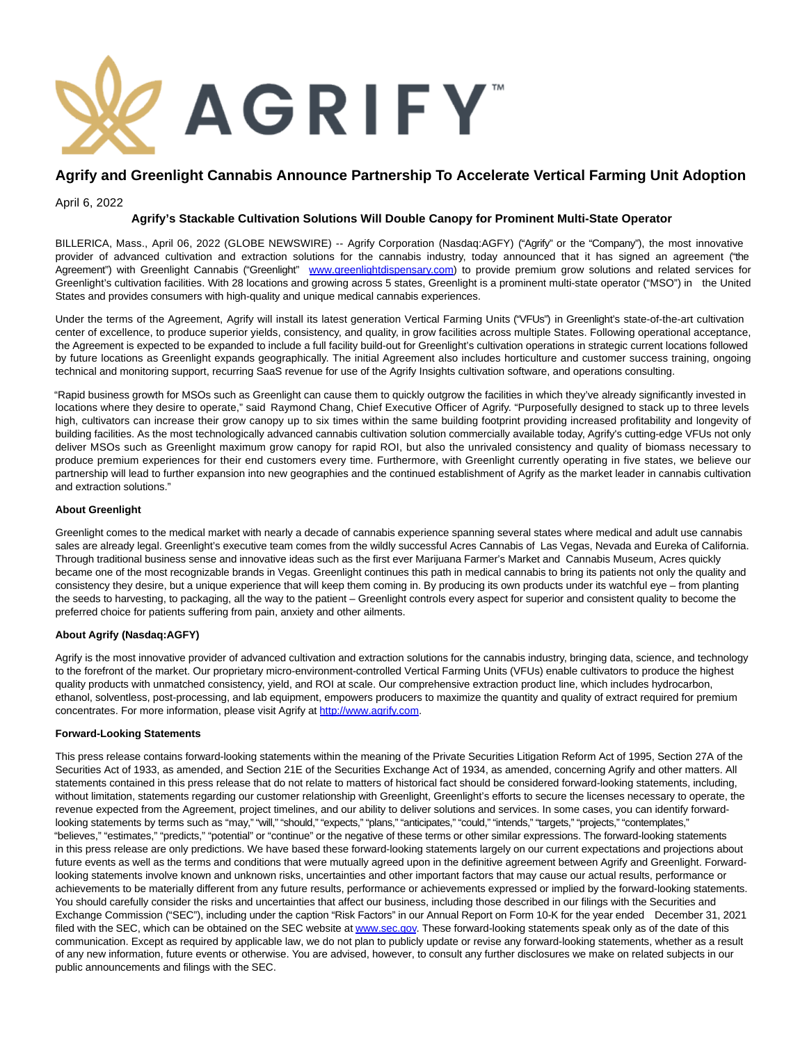

# **Agrify and Greenlight Cannabis Announce Partnership To Accelerate Vertical Farming Unit Adoption**

April 6, 2022

## **Agrify's Stackable Cultivation Solutions Will Double Canopy for Prominent Multi-State Operator**

BILLERICA, Mass., April 06, 2022 (GLOBE NEWSWIRE) -- Agrify Corporation (Nasdaq:AGFY) ("Agrify" or the "Company"), the most innovative provider of advanced cultivation and extraction solutions for the cannabis industry, today announced that it has signed an agreement ("the Agreement") with Greenlight Cannabis ("Greenlight" [www.greenlightdispensary.com\)](http://www.greenlightdispensary.com/) to provide premium grow solutions and related services for Greenlight's cultivation facilities. With 28 locations and growing across 5 states, Greenlight is a prominent multi-state operator ("MSO") in the United States and provides consumers with high-quality and unique medical cannabis experiences.

Under the terms of the Agreement, Agrify will install its latest generation Vertical Farming Units ("VFUs") in Greenlight's state-of-the-art cultivation center of excellence, to produce superior yields, consistency, and quality, in grow facilities across multiple States. Following operational acceptance, the Agreement is expected to be expanded to include a full facility build-out for Greenlight's cultivation operations in strategic current locations followed by future locations as Greenlight expands geographically. The initial Agreement also includes horticulture and customer success training, ongoing technical and monitoring support, recurring SaaS revenue for use of the Agrify Insights cultivation software, and operations consulting.

"Rapid business growth for MSOs such as Greenlight can cause them to quickly outgrow the facilities in which they've already significantly invested in locations where they desire to operate," said Raymond Chang, Chief Executive Officer of Agrify. "Purposefully designed to stack up to three levels high, cultivators can increase their grow canopy up to six times within the same building footprint providing increased profitability and longevity of building facilities. As the most technologically advanced cannabis cultivation solution commercially available today, Agrify's cutting-edge VFUs not only deliver MSOs such as Greenlight maximum grow canopy for rapid ROI, but also the unrivaled consistency and quality of biomass necessary to produce premium experiences for their end customers every time. Furthermore, with Greenlight currently operating in five states, we believe our partnership will lead to further expansion into new geographies and the continued establishment of Agrify as the market leader in cannabis cultivation and extraction solutions."

#### **About Greenlight**

Greenlight comes to the medical market with nearly a decade of cannabis experience spanning several states where medical and adult use cannabis sales are already legal. Greenlight's executive team comes from the wildly successful Acres Cannabis of Las Vegas, Nevada and Eureka of California. Through traditional business sense and innovative ideas such as the first ever Marijuana Farmer's Market and Cannabis Museum, Acres quickly became one of the most recognizable brands in Vegas. Greenlight continues this path in medical cannabis to bring its patients not only the quality and consistency they desire, but a unique experience that will keep them coming in. By producing its own products under its watchful eye – from planting the seeds to harvesting, to packaging, all the way to the patient – Greenlight controls every aspect for superior and consistent quality to become the preferred choice for patients suffering from pain, anxiety and other ailments.

### **About Agrify (Nasdaq:AGFY)**

Agrify is the most innovative provider of advanced cultivation and extraction solutions for the cannabis industry, bringing data, science, and technology to the forefront of the market. Our proprietary micro-environment-controlled Vertical Farming Units (VFUs) enable cultivators to produce the highest quality products with unmatched consistency, yield, and ROI at scale. Our comprehensive extraction product line, which includes hydrocarbon, ethanol, solventless, post-processing, and lab equipment, empowers producers to maximize the quantity and quality of extract required for premium concentrates. For more information, please visit Agrify at [http://www.agrify.com.](https://www.globenewswire.com/Tracker?data=TowVWE4VeBGR2kIPaIIDm4U5z3QTuoNAieLrH8kfHbbyTV1tsYYw0paa_Lr2NaqiLXeyesuNEJGoT0H9mwuFNymbYDqyJRJdvwHkZWikJHk=)

#### **Forward-Looking Statements**

This press release contains forward-looking statements within the meaning of the Private Securities Litigation Reform Act of 1995, Section 27A of the Securities Act of 1933, as amended, and Section 21E of the Securities Exchange Act of 1934, as amended, concerning Agrify and other matters. All statements contained in this press release that do not relate to matters of historical fact should be considered forward-looking statements, including, without limitation, statements regarding our customer relationship with Greenlight, Greenlight's efforts to secure the licenses necessary to operate, the revenue expected from the Agreement, project timelines, and our ability to deliver solutions and services. In some cases, you can identify forwardlooking statements by terms such as "may," "will," "should," "expects," "plans," "anticipates," "could," "intends," "targets," "projects," "contemplates," "believes," "estimates," "predicts," "potential" or "continue" or the negative of these terms or other similar expressions. The forward-looking statements in this press release are only predictions. We have based these forward-looking statements largely on our current expectations and projections about future events as well as the terms and conditions that were mutually agreed upon in the definitive agreement between Agrify and Greenlight. Forwardlooking statements involve known and unknown risks, uncertainties and other important factors that may cause our actual results, performance or achievements to be materially different from any future results, performance or achievements expressed or implied by the forward-looking statements. You should carefully consider the risks and uncertainties that affect our business, including those described in our filings with the Securities and Exchange Commission ("SEC"), including under the caption "Risk Factors" in our Annual Report on Form 10-K for the year ended December 31, 2021 filed with the SEC, which can be obtained on the SEC website at [www.sec.gov.](http://www.sec.gov/) These forward-looking statements speak only as of the date of this communication. Except as required by applicable law, we do not plan to publicly update or revise any forward-looking statements, whether as a result of any new information, future events or otherwise. You are advised, however, to consult any further disclosures we make on related subjects in our public announcements and filings with the SEC.